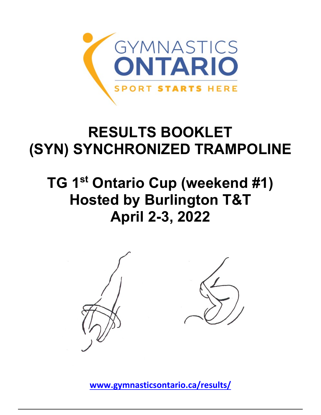

## **RESULTS BOOKLET (SYN) SYNCHRONIZED TRAMPOLINE**

## **TG 1st Ontario Cup (weekend #1) Hosted by Burlington T&T April 2-3, 2022**



**[www.gymnasticsontario.ca/results/](https://www.gymnasticsontario.ca/results/)**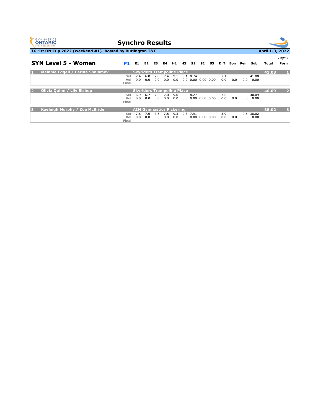

## **Synchro Results**



**TG 1st ON Cup 2022 (weekend #1) hosted by Burlington T&T**

|                | <b>SYN Level 5 - Women</b>              | <b>P1</b>                         | E1.        | E2.                               | E3.        | E4         | H1.        | H2         | - S1         | S2 | S3                      | Diff       | Bon | Pen   | Sub                     | Total | Page 1<br>Posn |
|----------------|-----------------------------------------|-----------------------------------|------------|-----------------------------------|------------|------------|------------|------------|--------------|----|-------------------------|------------|-----|-------|-------------------------|-------|----------------|
| П              | <b>Melanie Edgell / Carina Shalamov</b> |                                   |            | <b>Skyriders Trampoline Place</b> |            |            |            |            |              |    |                         |            |     |       |                         | 41.08 | $\mathbf{1}$   |
|                |                                         | Set<br>Vol<br>Final               | 7.4<br>0.0 | 6.8<br>0.0                        | 7.8<br>0.0 | 7.4<br>0.0 | 9.1<br>0.0 | 9.1<br>0.0 | 8.74         |    | $0.00$ $0.00$ $0.00$    | 7.1<br>0.0 | 0.0 | 0.0   | 41.08<br>0.00           |       |                |
| $\overline{2}$ | <b>Olivia Quinn / Lily Bishop</b>       | <b>Skyriders Trampoline Place</b> |            |                                   |            |            |            |            |              |    |                         |            |     | 40.09 | $\overline{2}$          |       |                |
|                |                                         | Set<br>Vol<br>Final               | 6.9<br>0.0 | 6.7<br>0.0                        | 7.0<br>0.0 | 7.0<br>0.0 | 9.0<br>0.0 |            | 9.0 8.27     |    | $0.0\,0.00\,0.00\,0.00$ | 7.6<br>0.0 | 0.0 | 0.0   | 40.09<br>0.00           |       |                |
| B              | Kaeleigh Murphy / Zoe McBride           | <b>AIM Gymnastics Pickering</b>   |            |                                   |            |            |            |            |              |    |                         |            |     | 38.02 | $\overline{\mathbf{3}}$ |       |                |
|                |                                         | Set<br>Vol<br>Final               | 7.6<br>0.0 | 7.6<br>0.0                        | 7.6<br>0.0 | 7.8<br>0.0 | 9.3<br>0.0 | 9.3<br>0.0 | 7.91<br>0.00 |    | $0.00\ 0.00$            | 5.9<br>0.0 | 0.0 | 0.0   | 0.6 38.02<br>0.00       |       |                |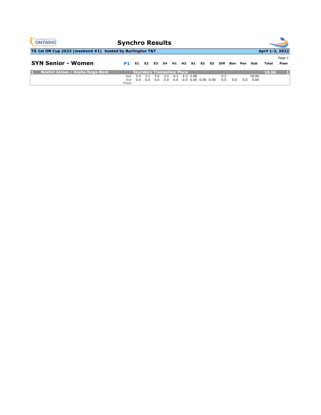| <b>GYMNASTICS</b><br><b>Synchro Results</b><br><b>ONTARIO</b><br><b>SPORT STARTS HERE</b> |                     |            |            |                                                 |            |            |  |             |  |                            |            |     |     |               |       |                |  |  |
|-------------------------------------------------------------------------------------------|---------------------|------------|------------|-------------------------------------------------|------------|------------|--|-------------|--|----------------------------|------------|-----|-----|---------------|-------|----------------|--|--|
| April 1-3, 2022<br>TG 1st ON Cup 2022 (weekend #1) hosted by Burlington T&T               |                     |            |            |                                                 |            |            |  |             |  |                            |            |     |     |               |       |                |  |  |
| <b>SYN Senior - Women</b>                                                                 | P1                  | E1.        | E2 E3      |                                                 | E4         |            |  | H1 H2 S1 S2 |  | <b>S3</b>                  | Diff       | Bon | Pen | Sub           | Total | Page 1<br>Posn |  |  |
| Roshni James / Kasha Noga-Bard<br>к                                                       | Set<br>Vol<br>Final | 3.4<br>0.0 | 3.1<br>0.0 | <b>Skyriders Trampoline Place</b><br>3.6<br>0.0 | 3.2<br>0.0 | 4.3<br>0.0 |  | 4.3 3.08    |  | $0.0$ $0.00$ $0.00$ $0.00$ | 5.2<br>0.0 | 0.0 | 0.0 | 18.96<br>0.00 | 18.96 |                |  |  |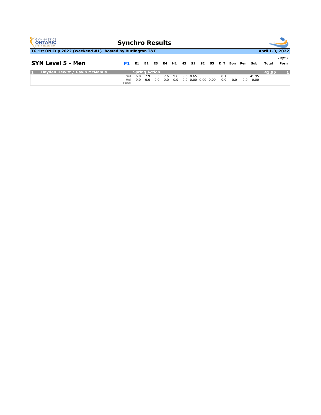| <b>GYMNASTICS</b><br><b>Synchro Results</b><br><b>ONTARIO</b><br><b>SPORT STARTS HERE</b> |                     |            |                |                                    |            |            |  |                                        |    |      |            |            |     |               |       |                |  |  |
|-------------------------------------------------------------------------------------------|---------------------|------------|----------------|------------------------------------|------------|------------|--|----------------------------------------|----|------|------------|------------|-----|---------------|-------|----------------|--|--|
| April 1-3, 2022<br>TG 1st ON Cup 2022 (weekend #1) hosted by Burlington T&T               |                     |            |                |                                    |            |            |  |                                        |    |      |            |            |     |               |       |                |  |  |
| SYN Level 5 - Men                                                                         | P1                  | E1         | E <sub>2</sub> | <b>E3</b>                          | E4         | H1 H2      |  | $\sim$ S1 $\sim$                       | S2 | - S3 | Diff       | <b>Bon</b> | Pen | Sub           | Total | Page 1<br>Posn |  |  |
| <b>Hayden Hewitt / Gavin McManus</b><br>к                                                 | Set<br>Vol<br>Final | 6.0<br>0.0 | 7.9<br>0.0     | <b>Spring Action</b><br>6.3<br>0.0 | 7.6<br>0.0 | 9.6<br>0.0 |  | 9.6 8.65<br>$0.0$ $0.00$ $0.00$ $0.00$ |    |      | 8.1<br>0.0 | 0.0        | 0.0 | 41.95<br>0.00 | 41.95 |                |  |  |